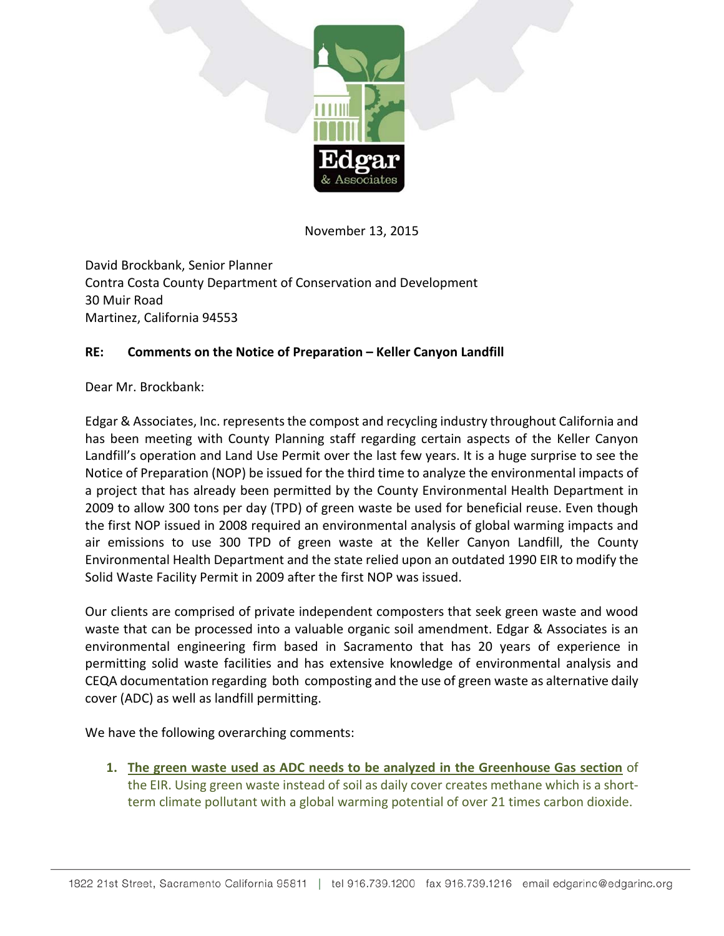

November 13, 2015

David Brockbank, Senior Planner Contra Costa County Department of Conservation and Development 30 Muir Road Martinez, California 94553

## **RE: Comments on the Notice of Preparation – Keller Canyon Landfill**

Dear Mr. Brockbank:

Edgar & Associates, Inc. represents the compost and recycling industry throughout California and has been meeting with County Planning staff regarding certain aspects of the Keller Canyon Landfill's operation and Land Use Permit over the last few years. It is a huge surprise to see the Notice of Preparation (NOP) be issued for the third time to analyze the environmental impacts of a project that has already been permitted by the County Environmental Health Department in 2009 to allow 300 tons per day (TPD) of green waste be used for beneficial reuse. Even though the first NOP issued in 2008 required an environmental analysis of global warming impacts and air emissions to use 300 TPD of green waste at the Keller Canyon Landfill, the County Environmental Health Department and the state relied upon an outdated 1990 EIR to modify the Solid Waste Facility Permit in 2009 after the first NOP was issued.

Our clients are comprised of private independent composters that seek green waste and wood waste that can be processed into a valuable organic soil amendment. Edgar & Associates is an environmental engineering firm based in Sacramento that has 20 years of experience in permitting solid waste facilities and has extensive knowledge of environmental analysis and CEQA documentation regarding both composting and the use of green waste as alternative daily cover (ADC) as well as landfill permitting.

We have the following overarching comments:

**1. The green waste used as ADC needs to be analyzed in the Greenhouse Gas section** of the EIR. Using green waste instead of soil as daily cover creates methane which is a shortterm climate pollutant with a global warming potential of over 21 times carbon dioxide.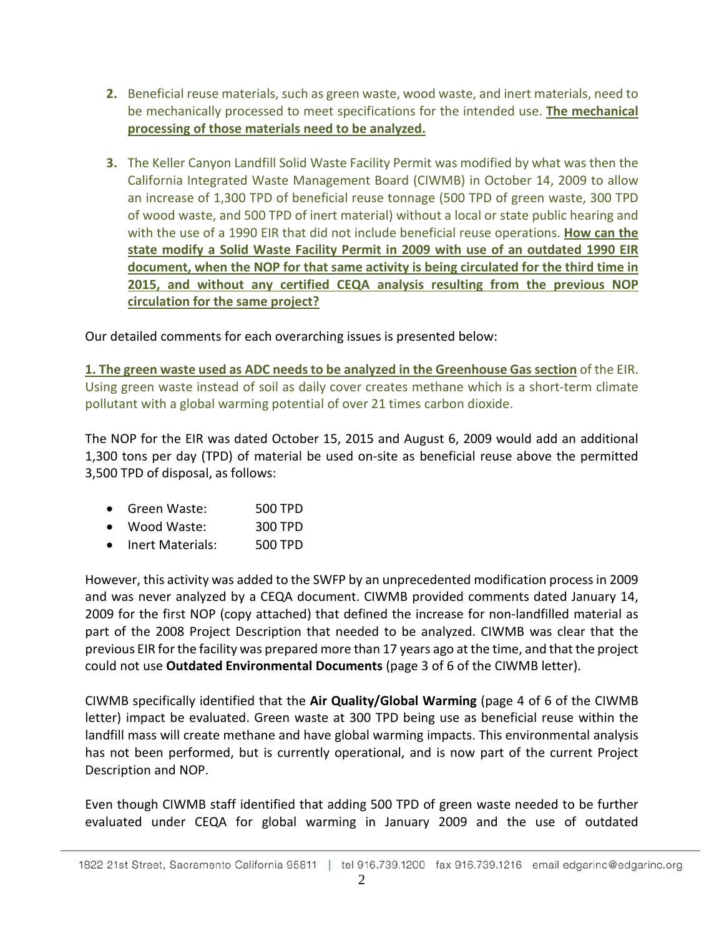- **2.** Beneficial reuse materials, such as green waste, wood waste, and inert materials, need to be mechanically processed to meet specifications for the intended use. **The mechanical processing of those materials need to be analyzed.**
- **3.** The Keller Canyon Landfill Solid Waste Facility Permit was modified by what was then the California Integrated Waste Management Board (CIWMB) in October 14, 2009 to allow an increase of 1,300 TPD of beneficial reuse tonnage (500 TPD of green waste, 300 TPD of wood waste, and 500 TPD of inert material) without a local or state public hearing and with the use of a 1990 EIR that did not include beneficial reuse operations. **How can the state modify a Solid Waste Facility Permit in 2009 with use of an outdated 1990 EIR document, when the NOP for that same activity is being circulated for the third time in 2015, and without any certified CEQA analysis resulting from the previous NOP circulation for the same project?**

Our detailed comments for each overarching issues is presented below:

**1. The green waste used as ADC needs to be analyzed in the Greenhouse Gas section** of the EIR. Using green waste instead of soil as daily cover creates methane which is a short-term climate pollutant with a global warming potential of over 21 times carbon dioxide.

The NOP for the EIR was dated October 15, 2015 and August 6, 2009 would add an additional 1,300 tons per day (TPD) of material be used on-site as beneficial reuse above the permitted 3,500 TPD of disposal, as follows:

- Green Waste: 500 TPD
- Wood Waste: 300 TPD
- Inert Materials: 500 TPD

However, this activity was added to the SWFP by an unprecedented modification process in 2009 and was never analyzed by a CEQA document. CIWMB provided comments dated January 14, 2009 for the first NOP (copy attached) that defined the increase for non-landfilled material as part of the 2008 Project Description that needed to be analyzed. CIWMB was clear that the previous EIR for the facility was prepared more than 17 years ago at the time, and that the project could not use **Outdated Environmental Documents** (page 3 of 6 of the CIWMB letter).

CIWMB specifically identified that the **Air Quality/Global Warming** (page 4 of 6 of the CIWMB letter) impact be evaluated. Green waste at 300 TPD being use as beneficial reuse within the landfill mass will create methane and have global warming impacts. This environmental analysis has not been performed, but is currently operational, and is now part of the current Project Description and NOP.

Even though CIWMB staff identified that adding 500 TPD of green waste needed to be further evaluated under CEQA for global warming in January 2009 and the use of outdated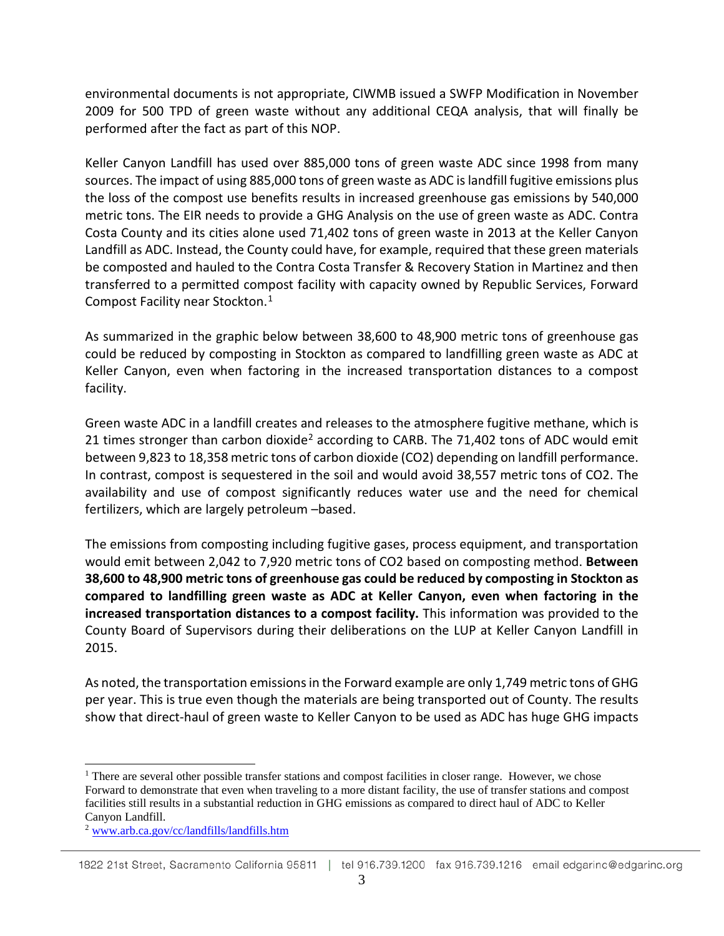environmental documents is not appropriate, CIWMB issued a SWFP Modification in November 2009 for 500 TPD of green waste without any additional CEQA analysis, that will finally be performed after the fact as part of this NOP.

Keller Canyon Landfill has used over 885,000 tons of green waste ADC since 1998 from many sources. The impact of using 885,000 tons of green waste as ADC is landfill fugitive emissions plus the loss of the compost use benefits results in increased greenhouse gas emissions by 540,000 metric tons. The EIR needs to provide a GHG Analysis on the use of green waste as ADC. Contra Costa County and its cities alone used 71,402 tons of green waste in 2013 at the Keller Canyon Landfill as ADC. Instead, the County could have, for example, required that these green materials be composted and hauled to the Contra Costa Transfer & Recovery Station in Martinez and then transferred to a permitted compost facility with capacity owned by Republic Services, Forward Compost Facility near Stockton.[1](#page-2-0)

As summarized in the graphic below between 38,600 to 48,900 metric tons of greenhouse gas could be reduced by composting in Stockton as compared to landfilling green waste as ADC at Keller Canyon, even when factoring in the increased transportation distances to a compost facility.

Green waste ADC in a landfill creates and releases to the atmosphere fugitive methane, which is [2](#page-2-1)1 times stronger than carbon dioxide<sup>2</sup> according to CARB. The 71,402 tons of ADC would emit between 9,823 to 18,358 metric tons of carbon dioxide (CO2) depending on landfill performance. In contrast, compost is sequestered in the soil and would avoid 38,557 metric tons of CO2. The availability and use of compost significantly reduces water use and the need for chemical fertilizers, which are largely petroleum –based.

The emissions from composting including fugitive gases, process equipment, and transportation would emit between 2,042 to 7,920 metric tons of CO2 based on composting method. **Between 38,600 to 48,900 metric tons of greenhouse gas could be reduced by composting in Stockton as compared to landfilling green waste as ADC at Keller Canyon, even when factoring in the increased transportation distances to a compost facility.** This information was provided to the County Board of Supervisors during their deliberations on the LUP at Keller Canyon Landfill in 2015.

As noted, the transportation emissions in the Forward example are only 1,749 metric tons of GHG per year. This is true even though the materials are being transported out of County. The results show that direct-haul of green waste to Keller Canyon to be used as ADC has huge GHG impacts

<span id="page-2-1"></span>1822 21st Street, Sacramento California 95811 | tel 916.739.1200 fax 916.739.1216 email edgarinc@edgarinc.org

<span id="page-2-0"></span><sup>&</sup>lt;sup>1</sup> There are several other possible transfer stations and compost facilities in closer range. However, we chose Forward to demonstrate that even when traveling to a more distant facility, the use of transfer stations and compost facilities still results in a substantial reduction in GHG emissions as compared to direct haul of ADC to Keller Canyon Landfill.

<sup>2</sup> [www.arb.ca.gov/cc/landfills/landfills.htm](http://www.arb.ca.gov/cc/landfills/landfills.htm)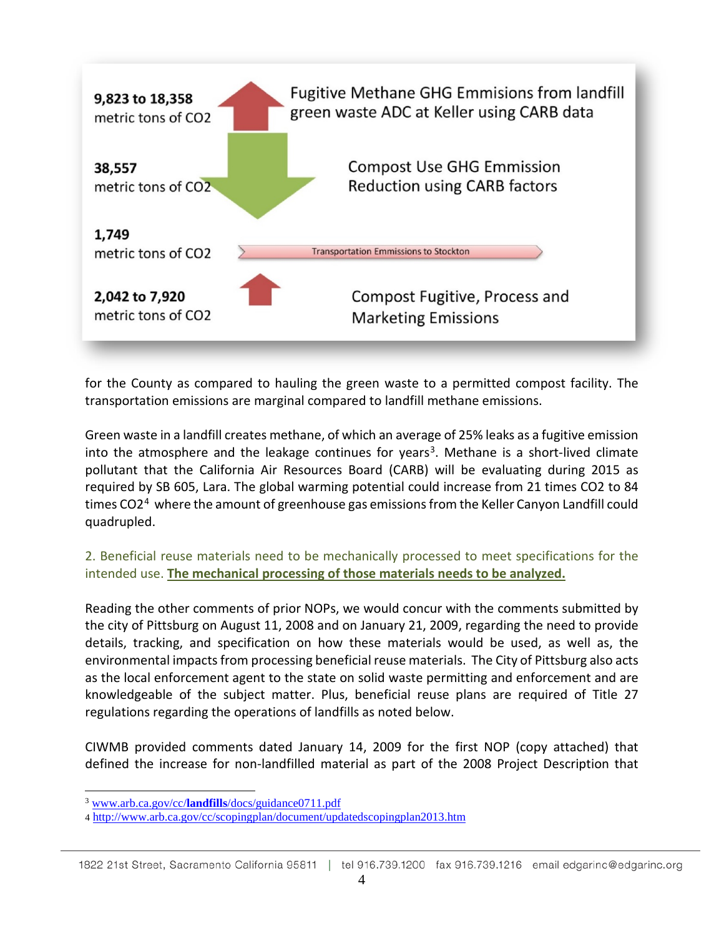

for the County as compared to hauling the green waste to a permitted compost facility. The transportation emissions are marginal compared to landfill methane emissions.

Green waste in a landfill creates methane, of which an average of 25% leaks as a fugitive emission into the atmosphere and the leakage continues for years<sup>[3](#page-3-0)</sup>. Methane is a short-lived climate pollutant that the California Air Resources Board (CARB) will be evaluating during 2015 as required by SB 605, Lara. The global warming potential could increase from 21 times CO2 to 84 times CO2<sup>[4](#page-3-1)</sup> where the amount of greenhouse gas emissions from the Keller Canyon Landfill could quadrupled.

2. Beneficial reuse materials need to be mechanically processed to meet specifications for the intended use. **The mechanical processing of those materials needs to be analyzed.**

Reading the other comments of prior NOPs, we would concur with the comments submitted by the city of Pittsburg on August 11, 2008 and on January 21, 2009, regarding the need to provide details, tracking, and specification on how these materials would be used, as well as, the environmental impacts from processing beneficial reuse materials. The City of Pittsburg also acts as the local enforcement agent to the state on solid waste permitting and enforcement and are knowledgeable of the subject matter. Plus, beneficial reuse plans are required of Title 27 regulations regarding the operations of landfills as noted below.

CIWMB provided comments dated January 14, 2009 for the first NOP (copy attached) that defined the increase for non-landfilled material as part of the 2008 Project Description that

<span id="page-3-0"></span> <sup>3</sup> www.arb.ca.gov/cc/**landfills**[/docs/guidance0711.pdf](http://www.arb.ca.gov/cc/landfills/docs/guidance0711.pdf)

<span id="page-3-1"></span><sup>4</sup> <http://www.arb.ca.gov/cc/scopingplan/document/updatedscopingplan2013.htm>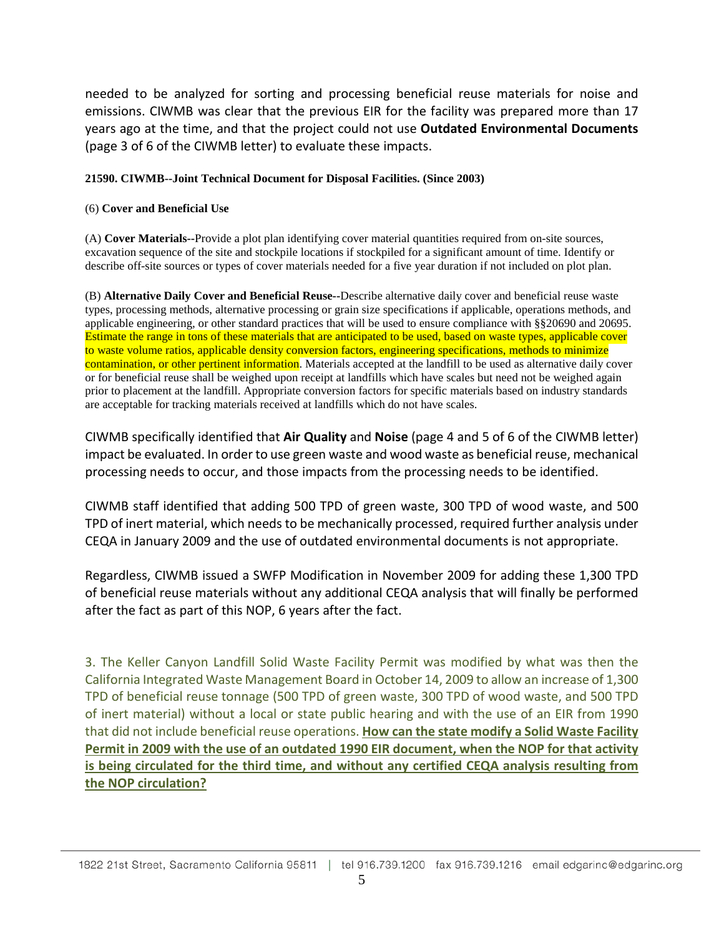needed to be analyzed for sorting and processing beneficial reuse materials for noise and emissions. CIWMB was clear that the previous EIR for the facility was prepared more than 17 years ago at the time, and that the project could not use **Outdated Environmental Documents** (page 3 of 6 of the CIWMB letter) to evaluate these impacts.

## **21590. CIWMB--Joint Technical Document for Disposal Facilities. (Since 2003)**

## (6) **Cover and Beneficial Use**

(A) **Cover Materials--**Provide a plot plan identifying cover material quantities required from on-site sources, excavation sequence of the site and stockpile locations if stockpiled for a significant amount of time. Identify or describe off-site sources or types of cover materials needed for a five year duration if not included on plot plan.

(B) **Alternative Daily Cover and Beneficial Reuse--**Describe alternative daily cover and beneficial reuse waste types, processing methods, alternative processing or grain size specifications if applicable, operations methods, and applicable engineering, or other standard practices that will be used to ensure compliance with §§20690 and 20695. Estimate the range in tons of these materials that are anticipated to be used, based on waste types, applicable cover to waste volume ratios, applicable density conversion factors, engineering specifications, methods to minimize contamination, or other pertinent information. Materials accepted at the landfill to be used as alternative daily cover or for beneficial reuse shall be weighed upon receipt at landfills which have scales but need not be weighed again prior to placement at the landfill. Appropriate conversion factors for specific materials based on industry standards are acceptable for tracking materials received at landfills which do not have scales.

CIWMB specifically identified that **Air Quality** and **Noise** (page 4 and 5 of 6 of the CIWMB letter) impact be evaluated. In order to use green waste and wood waste as beneficial reuse, mechanical processing needs to occur, and those impacts from the processing needs to be identified.

CIWMB staff identified that adding 500 TPD of green waste, 300 TPD of wood waste, and 500 TPD of inert material, which needs to be mechanically processed, required further analysis under CEQA in January 2009 and the use of outdated environmental documents is not appropriate.

Regardless, CIWMB issued a SWFP Modification in November 2009 for adding these 1,300 TPD of beneficial reuse materials without any additional CEQA analysis that will finally be performed after the fact as part of this NOP, 6 years after the fact.

3. The Keller Canyon Landfill Solid Waste Facility Permit was modified by what was then the California Integrated Waste Management Board in October 14, 2009 to allow an increase of 1,300 TPD of beneficial reuse tonnage (500 TPD of green waste, 300 TPD of wood waste, and 500 TPD of inert material) without a local or state public hearing and with the use of an EIR from 1990 that did not include beneficial reuse operations. **How can the state modify a Solid Waste Facility Permit in 2009 with the use of an outdated 1990 EIR document, when the NOP for that activity is being circulated for the third time, and without any certified CEQA analysis resulting from the NOP circulation?**